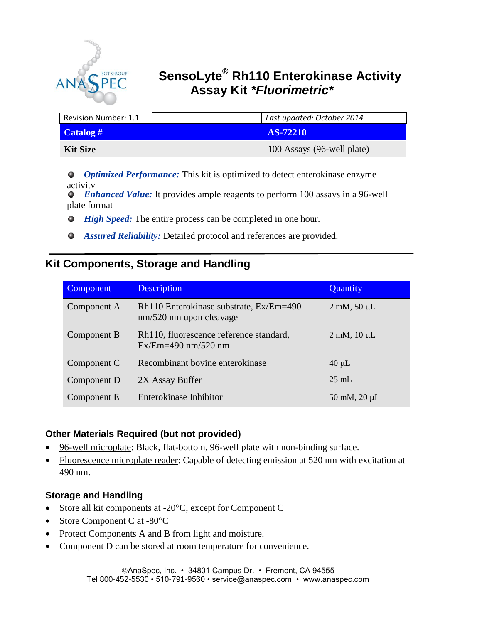

# **SensoLyte® Rh110 Enterokinase Activity Assay Kit** *\*Fluorimetric\**

| Revision Number: 1.1      | Last updated: October 2014 |  |
|---------------------------|----------------------------|--|
| $\text{Calog}\,\text{\#}$ | <b>AS-72210</b>            |  |
| Kit Size                  | 100 Assays (96-well plate) |  |

*Optimized Performance:* This kit is optimized to detect enterokinase enzyme activity

 *Enhanced Value:* It provides ample reagents to perform 100 assays in a 96-well plate format **Department** 

- *High Speed:* The entire process can be completed in one hour.
- *Assured Reliability:* Detailed protocol and references are provided. ٠

## **Kit Components, Storage and Handling**

| Component   | Description                                                        | Quantity                    |
|-------------|--------------------------------------------------------------------|-----------------------------|
| Component A | Rh110 Enterokinase substrate, Ex/Em=490<br>nm/520 nm upon cleavage | $2 \text{ mM}$ , 50 $\mu$ L |
| Component B | Rh110, fluorescence reference standard,<br>$Ex/Em=490$ nm/520 nm   | $2 \text{ mM}$ , $10 \mu L$ |
| Component C | Recombinant bovine enterokinase                                    | $40 \mu L$                  |
| Component D | 2X Assay Buffer                                                    | $25 \text{ mL}$             |
| Component E | Enterokinase Inhibitor                                             | 50 mM, $20 \mu L$           |

## **Other Materials Required (but not provided)**

- 96-well microplate: Black, flat-bottom, 96-well plate with non-binding surface.
- Fluorescence microplate reader: Capable of detecting emission at 520 nm with excitation at 490 nm.

## **Storage and Handling**

- Store all kit components at  $-20^{\circ}$ C, except for Component C
- Store Component C at -80°C
- Protect Components A and B from light and moisture.
- Component D can be stored at room temperature for convenience.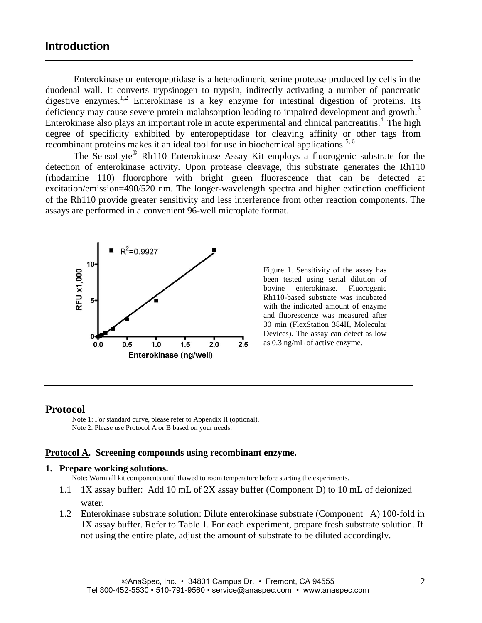### **Introduction**

Enterokinase or enteropeptidase is a heterodimeric serine protease produced by cells in the duodenal wall. It converts trypsinogen to trypsin, indirectly activating a number of pancreatic digestive enzymes.<sup>1,2</sup> Enterokinase is a key enzyme for intestinal digestion of proteins. Its deficiency may cause severe protein malabsorption leading to impaired development and growth.<sup>3</sup> Enterokinase also plays an important role in acute experimental and clinical pancreatitis.<sup>4</sup> The high degree of specificity exhibited by enteropeptidase for cleaving affinity or other tags from recombinant proteins makes it an ideal tool for use in biochemical applications.<sup>5, 6</sup>

The SensoLyte<sup>®</sup> Rh110 Enterokinase Assay Kit employs a fluorogenic substrate for the detection of enterokinase activity. Upon protease cleavage, this substrate generates the Rh110 (rhodamine 110) fluorophore with bright green fluorescence that can be detected at excitation/emission=490/520 nm. The longer-wavelength spectra and higher extinction coefficient of the Rh110 provide greater sensitivity and less interference from other reaction components. The assays are performed in a convenient 96-well microplate format.



Figure 1. Sensitivity of the assay has been tested using serial dilution of bovine enterokinase. Fluorogenic Rh110-based substrate was incubated with the indicated amount of enzyme and fluorescence was measured after 30 min (FlexStation 384II, Molecular Devices). The assay can detect as low as 0.3 ng/mL of active enzyme.

#### **Protocol**

 Note 1: For standard curve, please refer to Appendix II (optional). Note 2: Please use Protocol A or B based on your needs.

#### **Protocol A. Screening compounds using recombinant enzyme.**

#### **1. Prepare working solutions.**

Note: Warm all kit components until thawed to room temperature before starting the experiments.

- 1.1 1X assay buffer: Add 10 mL of 2X assay buffer (Component D) to 10 mL of deionized water.
- 1.2 Enterokinase substrate solution: Dilute enterokinase substrate (Component A) 100-fold in 1X assay buffer. Refer to Table 1. For each experiment, prepare fresh substrate solution. If not using the entire plate, adjust the amount of substrate to be diluted accordingly.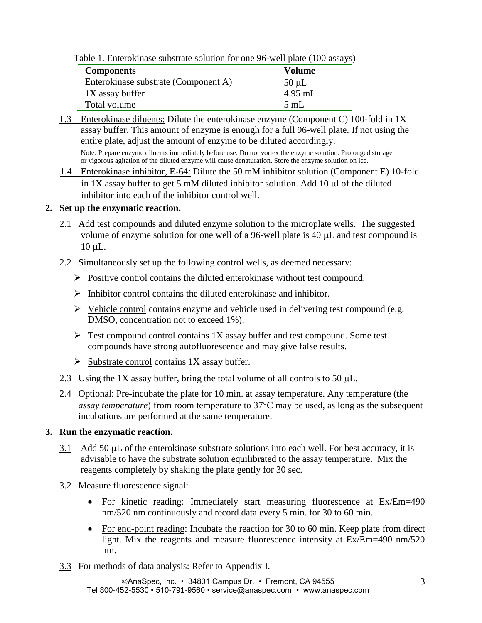Table 1. Enterokinase substrate solution for one 96-well plate (100 assays)

| <b>Components</b>                    | Volume     |
|--------------------------------------|------------|
| Enterokinase substrate (Component A) | $50 \mu L$ |
| 1X assay buffer                      | $4.95$ mL  |
| Total volume                         | 5 mL       |

1.3 Enterokinase diluents: Dilute the enterokinase enzyme (Component C) 100-fold in 1X assay buffer. This amount of enzyme is enough for a full 96-well plate. If not using the entire plate, adjust the amount of enzyme to be diluted accordingly. Note: Prepare enzyme diluents immediately before use. Do not vortex the enzyme solution. Prolonged storage

or vigorous agitation of the diluted enzyme will cause denaturation. Store the enzyme solution on ice.

1.4 Enterokinase inhibitor, E-64: Dilute the 50 mM inhibitor solution (Component E) 10-fold in  $1X$  assay buffer to get 5 mM diluted inhibitor solution. Add  $10 \mu$  of the diluted inhibitor into each of the inhibitor control well.

#### **2. Set up the enzymatic reaction.**

- 2.1 Add test compounds and diluted enzyme solution to the microplate wells. The suggested volume of enzyme solution for one well of a 96-well plate is 40  $\mu$ L and test compound is  $10 \mu L$ .
- 2.2 Simultaneously set up the following control wells, as deemed necessary:
	- $\triangleright$  Positive control contains the diluted enterokinase without test compound.
	- $\triangleright$  Inhibitor control contains the diluted enterokinase and inhibitor.
	- $\triangleright$  Vehicle control contains enzyme and vehicle used in delivering test compound (e.g. DMSO, concentration not to exceed 1%).
	- $\triangleright$  Test compound control contains 1X assay buffer and test compound. Some test compounds have strong autofluorescence and may give false results.
	- $\triangleright$  Substrate control contains 1X assay buffer.
- 2.3 Using the 1X assay buffer, bring the total volume of all controls to 50  $\mu$ L.
- 2.4 Optional: Pre-incubate the plate for 10 min. at assay temperature. Any temperature (the *assay temperature*) from room temperature to 37°C may be used, as long as the subsequent incubations are performed at the same temperature.

#### **3. Run the enzymatic reaction.**

- 3.1 Add 50  $\mu$ L of the enterokinase substrate solutions into each well. For best accuracy, it is advisable to have the substrate solution equilibrated to the assay temperature. Mix the reagents completely by shaking the plate gently for 30 sec.
- 3.2 Measure fluorescence signal:
	- For kinetic reading: Immediately start measuring fluorescence at Ex/Em=490 nm/520 nm continuously and record data every 5 min. for 30 to 60 min.
	- For end-point reading: Incubate the reaction for 30 to 60 min. Keep plate from direct light. Mix the reagents and measure fluorescence intensity at Ex/Em=490 nm/520 nm.
- 3.3 For methods of data analysis: Refer to Appendix I.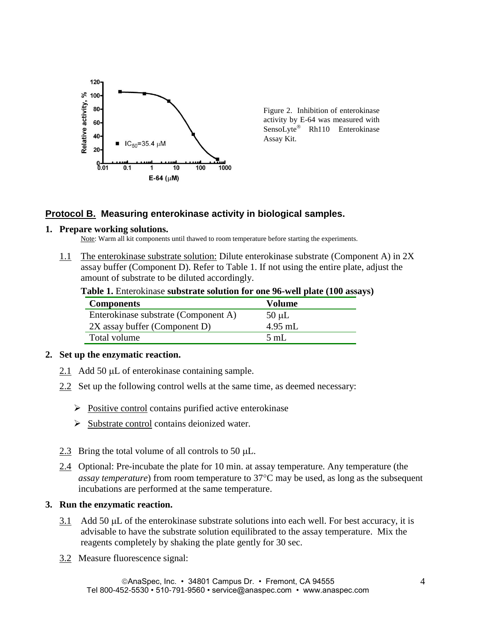

Figure 2. Inhibition of enterokinase activity by E-64 was measured with SensoLyte® Rh110 Enterokinase Assay Kit.

## **Protocol B. Measuring enterokinase activity in biological samples.**

#### **1. Prepare working solutions.**

Note: Warm all kit components until thawed to room temperature before starting the experiments.

1.1 The enterokinase substrate solution: Dilute enterokinase substrate (Component A) in 2X assay buffer (Component D). Refer to Table 1. If not using the entire plate, adjust the amount of substrate to be diluted accordingly.

|  | Table 1. Enterokinase substrate solution for one 96-well plate (100 assays) |  |  |
|--|-----------------------------------------------------------------------------|--|--|
|  |                                                                             |  |  |

| <b>Components</b>                    | <b>Volume</b> |
|--------------------------------------|---------------|
| Enterokinase substrate (Component A) | $50 \mu L$    |
| 2X assay buffer (Component D)        | $4.95$ mL     |
| Total volume                         | 5 mL          |
|                                      |               |

### **2. Set up the enzymatic reaction.**

- 2.1 Add 50  $\mu$ L of enterokinase containing sample.
- 2.2 Set up the following control wells at the same time, as deemed necessary:
	- $\triangleright$  Positive control contains purified active enterokinase
	- $\triangleright$  Substrate control contains deionized water.
- 2.3 Bring the total volume of all controls to 50  $\mu$ L.
- 2.4 Optional: Pre-incubate the plate for 10 min. at assay temperature. Any temperature (the *assay temperature*) from room temperature to 37<sup>o</sup>C may be used, as long as the subsequent incubations are performed at the same temperature.

#### **3. Run the enzymatic reaction.**

- 3.1 Add 50  $\mu$ L of the enterokinase substrate solutions into each well. For best accuracy, it is advisable to have the substrate solution equilibrated to the assay temperature. Mix the reagents completely by shaking the plate gently for 30 sec.
- 3.2 Measure fluorescence signal: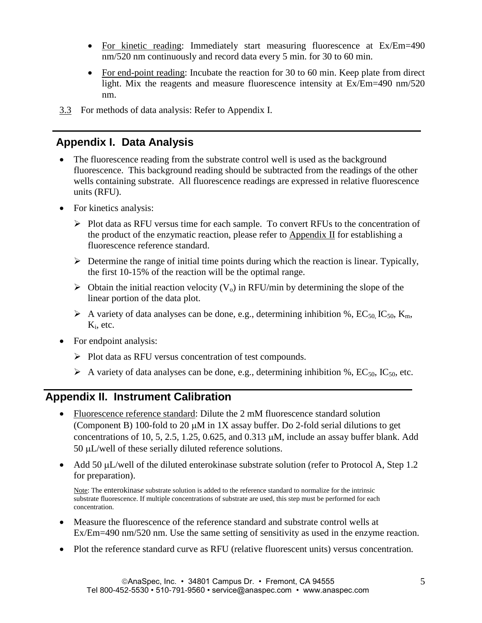- For kinetic reading: Immediately start measuring fluorescence at Ex/Em=490 nm/520 nm continuously and record data every 5 min. for 30 to 60 min.
- For end-point reading: Incubate the reaction for 30 to 60 min. Keep plate from direct light. Mix the reagents and measure fluorescence intensity at Ex/Em=490 nm/520 nm.
- 3.3 For methods of data analysis: Refer to Appendix I.

## **Appendix I. Data Analysis**

- The fluorescence reading from the substrate control well is used as the background fluorescence. This background reading should be subtracted from the readings of the other wells containing substrate. All fluorescence readings are expressed in relative fluorescence units (RFU).
- For kinetics analysis:
	- $\triangleright$  Plot data as RFU versus time for each sample. To convert RFUs to the concentration of the product of the enzymatic reaction, please refer to Appendix II for establishing a fluorescence reference standard.
	- $\triangleright$  Determine the range of initial time points during which the reaction is linear. Typically, the first 10-15% of the reaction will be the optimal range.
	- $\triangleright$  Obtain the initial reaction velocity (V<sub>o</sub>) in RFU/min by determining the slope of the linear portion of the data plot.
	- A variety of data analyses can be done, e.g., determining inhibition %, EC<sub>50</sub>, IC<sub>50</sub>, K<sub>m</sub>, K<sub>i</sub>, etc.
- For endpoint analysis:
	- $\triangleright$  Plot data as RFU versus concentration of test compounds.
	- A variety of data analyses can be done, e.g., determining inhibition %,  $EC_{50}$ ,  $IC_{50}$ , etc.

## **Appendix II. Instrument Calibration**

- Fluorescence reference standard: Dilute the 2 mM fluorescence standard solution (Component B) 100-fold to 20  $\mu$ M in 1X assay buffer. Do 2-fold serial dilutions to get concentrations of 10, 5, 2.5, 1.25, 0.625, and 0.313  $\mu$ M, include an assay buffer blank. Add 50  $\mu$ L/well of these serially diluted reference solutions.
- Add 50  $\mu$ L/well of the diluted enterokinase substrate solution (refer to Protocol A, Step 1.2) for preparation).

 Note: The enterokinas*e* substrate solution is added to the reference standard to normalize for the intrinsic substrate fluorescence. If multiple concentrations of substrate are used, this step must be performed for each concentration.

- Measure the fluorescence of the reference standard and substrate control wells at Ex/Em=490 nm/520 nm. Use the same setting of sensitivity as used in the enzyme reaction.
- Plot the reference standard curve as RFU (relative fluorescent units) versus concentration*.*